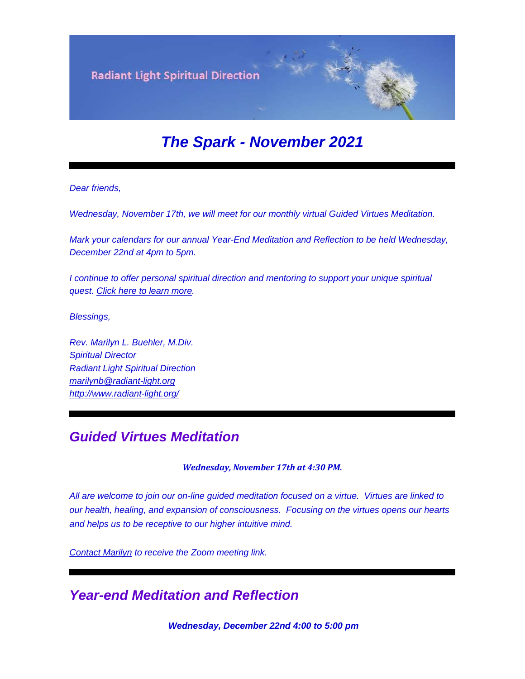

# *The Spark - November 2021*

*Dear friends,*

*Wednesday, November 17th, we will meet for our monthly virtual Guided Virtues Meditation.*

*Mark your calendars for our annual Year-End Meditation and Reflection to be held Wednesday, December 22nd at 4pm to 5pm.*

*I* continue to offer personal spiritual direction and mentoring to support your unique spiritual *quest. [Click here to learn more.](https://u18544456.ct.sendgrid.net/ls/click?upn=YO6TcuTs2Xz6NlJVKcEQZiklIDFGo-2FRGaP7ZnccBbQARgepgBehisljIdHaxu5bw3Tzxlji9z6lwkzLEwzWXaQ-3D-3DjF6M_FiQrYGg1YZElR924caalGEP3AHGeF79ulf5jxC9Fbcd8IfoR4p2-2FW0xZvJaX6Y3z75H0Yw3uGmHJTH3azVPJ5HXoQqlNvxrtacG06ak4RKHMbMmeNfqP89aksVjmhln-2FE8Wz4xA1uGWsAPB-2Bv9LoMX2Vbqn8f8KgsfpWLI-2F5ruel01Q9tWGGpO0buZopX3yaK-2BtaCHXXyxS93dgVeryyg65Z7ibLiv3NxzHTXHzsCirf9jEBQs2a-2BYwZP12Hn1SWA6S7bXXEjS3YrVtG1owC0g-3D-3D)*

*Blessings,*

*Rev. Marilyn L. Buehler, M.Div. Spiritual Director Radiant Light Spiritual Direction [marilynb@radiant-light.org](mailto:marilynb@radiant-light.org) [http://www.radiant-light.org/](https://u18544456.ct.sendgrid.net/ls/click?upn=R-2Bl7NGDLiuME3v4KUDXT9h2qnOPi-2Bv0NUDPOAvqgwbSGaV-2BAb3Xm4aVOKtH6HhU9m-2FTXOQwSXWi82XNXQXmW0Ybjzw6tS-2BT4DLdUHTzXugFWK15x1FY1bK6oAs60zDHai4N3_FiQrYGg1YZElR924caalGEP3AHGeF79ulf5jxC9Fbcd8IfoR4p2-2FW0xZvJaX6Y3z75H0Yw3uGmHJTH3azVPJ5HXoQqlNvxrtacG06ak4RKHMbMmeNfqP89aksVjmhln-2F-2BXYTRoZqv5ELz4StHb5mKDxrmUFa0Pxm9fpk83vuQoYHHnKYYE7U-2FdH6M7BRZCXJyKM38oUBhu9DchmFNKAMnvmDbPRjXtWDL9NY-2F-2FCH6n0crpVbd2OeXEFuX0nD4jcPy8Abs0cV33lWLHcEYnz13w-3D-3D)*

### *Guided Virtues Meditation*

*Wednesday, November 17th at 4:30 PM.*

*All are welcome to join our on-line guided meditation focused on a virtue. Virtues are linked to our health, healing, and expansion of consciousness. Focusing on the virtues opens our hearts and helps us to be receptive to our higher intuitive mind.*

*[Contact Marilyn](mailto:marilynb@radiant-light.org?subject=&body=) to receive the Zoom meeting link.*

## *Year-end Meditation and Reflection*

*Wednesday, December 22nd 4:00 to 5:00 pm*